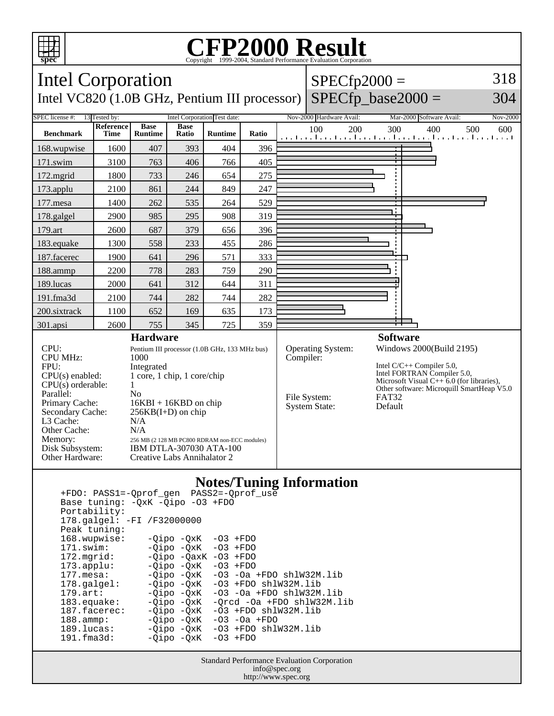

## **CFP2000 Result** Copyright ©1999-2004, Standard I



 Peak tuning: 168.wupwise: -Qipo -QxK -O3 +FDO 171.swim: -Qipo -QxK -O3 +FDO 172.mgrid: -Qipo -QaxK -O3 +FDO<br>173.applu: -Qipo -QxK -O3 +FDO 173.applu: -Qipo -QxK<br>177.mesa: - -Qipo -QxK  $-Qipo -QxK -O3 -Oa +FDO shlW32M.lib$  178.galgel: -Qipo -QxK -O3 +FDO shlW32M.lib 179.art: -Qipo -QxK -O3 -Oa +FDO shlW32M.lib<br>183.equake: -Qipo -QxK -Qrcd -Oa +FDO shlW32M.l 183.equake: -Qipo -QxK -Qrcd -Oa +FDO shlW32M.lib<br>187.facerec: -Qipo -QxK -O3 +FDO shlW32M.lib  $-03$  +FDO shlW32M.lib 188.ammp: -Qipo -QxK -O3 -Oa +FDO 189.lucas: -Qipo -QxK -O3 +FDO shlW32M.lib<br>191.fma3d: - -Oipo -OxK -O3 +FDO  $-Qipo -QxK$ 

> Standard Performance Evaluation Corporation info@spec.org http://www.spec.org